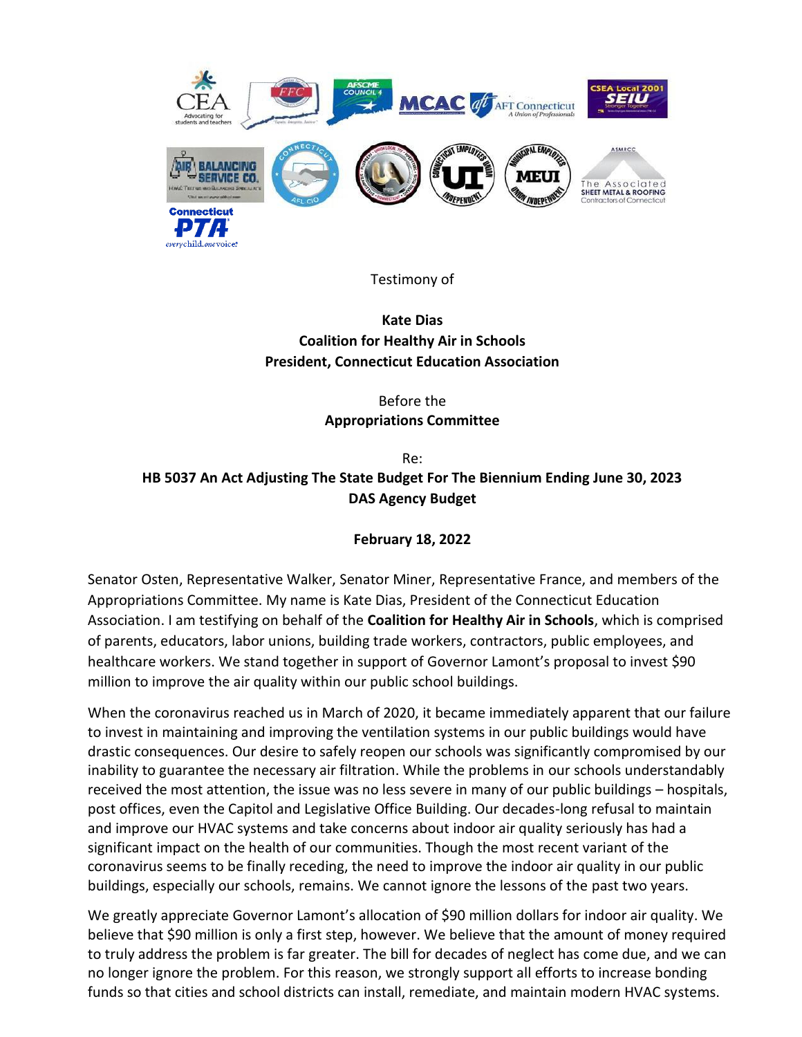

Testimony of

**Kate Dias Coalition for Healthy Air in Schools President, Connecticut Education Association** 

> Before the **Appropriations Committee**

Re: **HB 5037 An Act Adjusting The State Budget For The Biennium Ending June 30, 2023 DAS Agency Budget**

## **February 18, 2022**

Senator Osten, Representative Walker, Senator Miner, Representative France, and members of the Appropriations Committee. My name is Kate Dias, President of the Connecticut Education Association. I am testifying on behalf of the **Coalition for Healthy Air in Schools**, which is comprised of parents, educators, labor unions, building trade workers, contractors, public employees, and healthcare workers. We stand together in support of Governor Lamont's proposal to invest \$90 million to improve the air quality within our public school buildings.

When the coronavirus reached us in March of 2020, it became immediately apparent that our failure to invest in maintaining and improving the ventilation systems in our public buildings would have drastic consequences. Our desire to safely reopen our schools was significantly compromised by our inability to guarantee the necessary air filtration. While the problems in our schools understandably received the most attention, the issue was no less severe in many of our public buildings – hospitals, post offices, even the Capitol and Legislative Office Building. Our decades-long refusal to maintain and improve our HVAC systems and take concerns about indoor air quality seriously has had a significant impact on the health of our communities. Though the most recent variant of the coronavirus seems to be finally receding, the need to improve the indoor air quality in our public buildings, especially our schools, remains. We cannot ignore the lessons of the past two years.

We greatly appreciate Governor Lamont's allocation of \$90 million dollars for indoor air quality. We believe that \$90 million is only a first step, however. We believe that the amount of money required to truly address the problem is far greater. The bill for decades of neglect has come due, and we can no longer ignore the problem. For this reason, we strongly support all efforts to increase bonding funds so that cities and school districts can install, remediate, and maintain modern HVAC systems.